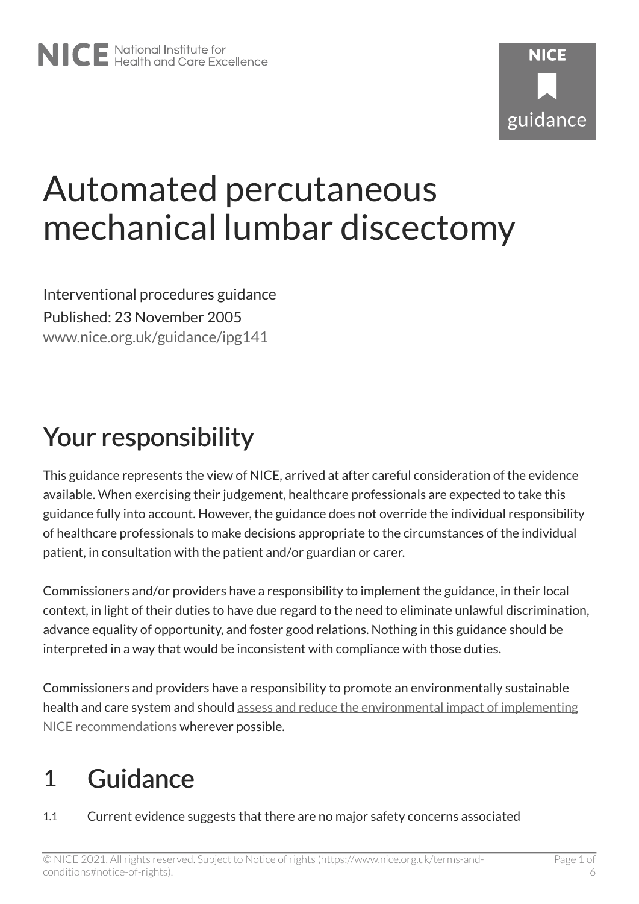# Automated percutaneous mechanical lumbar discectomy

Interventional procedures guidance Published: 23 November 2005 [www.nice.org.uk/guidance/ipg141](https://www.nice.org.uk/guidance/ipg141) 

## Your responsibility

This guidance represents the view of NICE, arrived at after careful consideration of the evidence available. When exercising their judgement, healthcare professionals are expected to take this guidance fully into account. However, the guidance does not override the individual responsibility of healthcare professionals to make decisions appropriate to the circumstances of the individual patient, in consultation with the patient and/or guardian or carer.

Commissioners and/or providers have a responsibility to implement the guidance, in their local context, in light of their duties to have due regard to the need to eliminate unlawful discrimination, advance equality of opportunity, and foster good relations. Nothing in this guidance should be interpreted in a way that would be inconsistent with compliance with those duties.

Commissioners and providers have a responsibility to promote an environmentally sustainable health and care system and should [assess and reduce the environmental impact of implementing](https://www.nice.org.uk/about/who-we-are/sustainability)  [NICE recommendations w](https://www.nice.org.uk/about/who-we-are/sustainability)herever possible.

## 1 Guidance

1.1 Current evidence suggests that there are no major safety concerns associated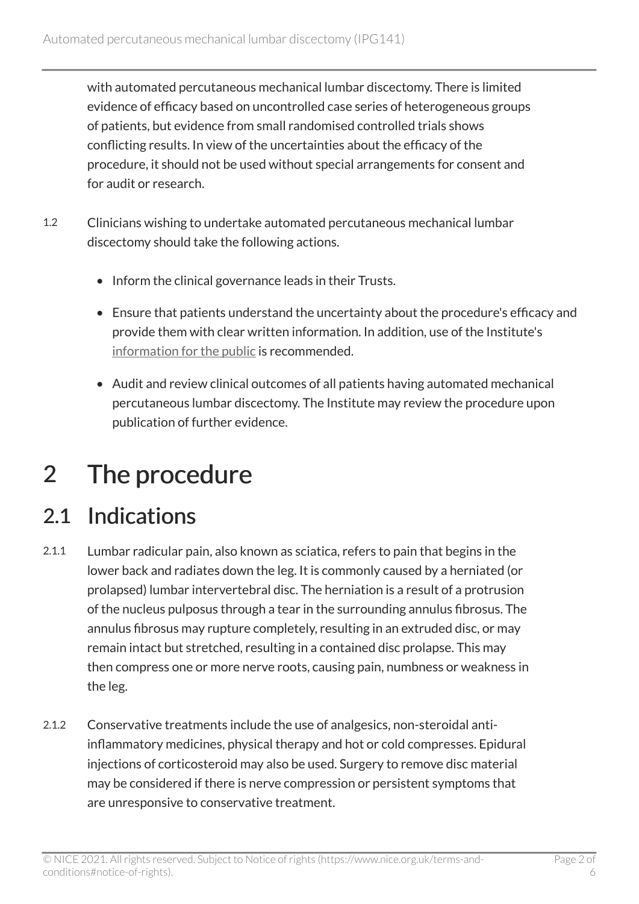with automated percutaneous mechanical lumbar discectomy. There is limited evidence of efficacy based on uncontrolled case series of heterogeneous groups of patients, but evidence from small randomised controlled trials shows conflicting results. In view of the uncertainties about the efficacy of the procedure, it should not be used without special arrangements for consent and for audit or research.

- 1.2 Clinicians wishing to undertake automated percutaneous mechanical lumbar discectomy should take the following actions.
	- Inform the clinical governance leads in their Trusts.
	- Ensure that patients understand the uncertainty about the procedure's efficacy and provide them with clear written information. In addition, use of the Institute's [information for the public](http://www.nice.org.uk/guidance/ipg141/informationforpublic) is recommended.
	- Audit and review clinical outcomes of all patients having automated mechanical percutaneous lumbar discectomy. The Institute may review the procedure upon publication of further evidence.

## 2 The procedure

#### 2.1 Indications

- 2.1.1 Lumbar radicular pain, also known as sciatica, refers to pain that begins in the lower back and radiates down the leg. It is commonly caused by a herniated (or prolapsed) lumbar intervertebral disc. The herniation is a result of a protrusion of the nucleus pulposus through a tear in the surrounding annulus fibrosus. The annulus fibrosus may rupture completely, resulting in an extruded disc, or may remain intact but stretched, resulting in a contained disc prolapse. This may then compress one or more nerve roots, causing pain, numbness or weakness in the leg.
- 2.1.2 Conservative treatments include the use of analgesics, non-steroidal antiinflammatory medicines, physical therapy and hot or cold compresses. Epidural injections of corticosteroid may also be used. Surgery to remove disc material may be considered if there is nerve compression or persistent symptoms that are unresponsive to conservative treatment.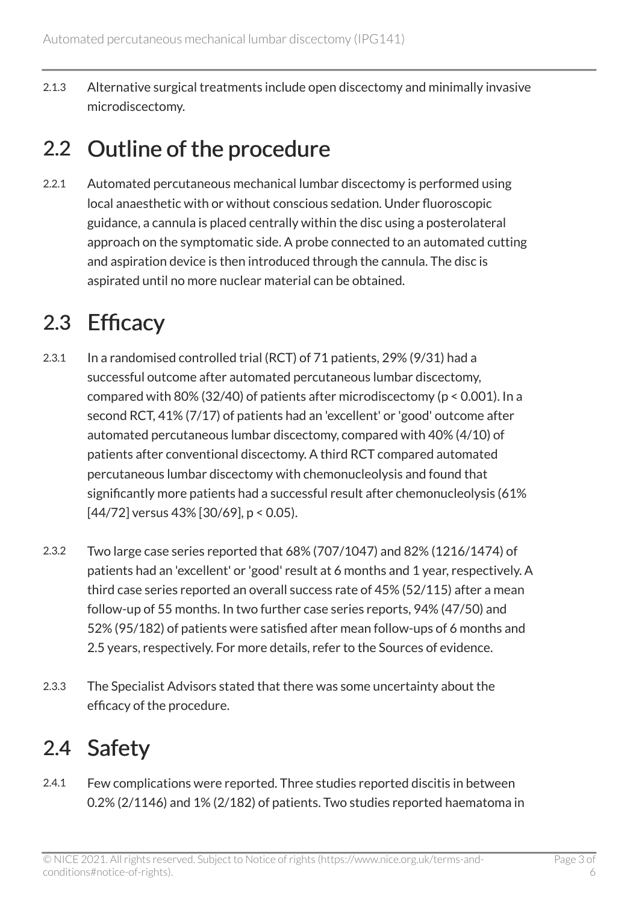2.1.3 Alternative surgical treatments include open discectomy and minimally invasive microdiscectomy.

### 2.2 Outline of the procedure

2.2.1 Automated percutaneous mechanical lumbar discectomy is performed using local anaesthetic with or without conscious sedation. Under fluoroscopic guidance, a cannula is placed centrally within the disc using a posterolateral approach on the symptomatic side. A probe connected to an automated cutting and aspiration device is then introduced through the cannula. The disc is aspirated until no more nuclear material can be obtained.

### 2.3 Efficacy

- 2.3.1 In a randomised controlled trial (RCT) of 71 patients, 29% (9/31) had a successful outcome after automated percutaneous lumbar discectomy, compared with 80% (32/40) of patients after microdiscectomy (p < 0.001). In a second RCT, 41% (7/17) of patients had an 'excellent' or 'good' outcome after automated percutaneous lumbar discectomy, compared with 40% (4/10) of patients after conventional discectomy. A third RCT compared automated percutaneous lumbar discectomy with chemonucleolysis and found that significantly more patients had a successful result after chemonucleolysis (61% [44/72] versus 43% [30/69], p < 0.05).
- 2.3.2 Two large case series reported that 68% (707/1047) and 82% (1216/1474) of patients had an 'excellent' or 'good' result at 6 months and 1 year, respectively. A third case series reported an overall success rate of 45% (52/115) after a mean follow-up of 55 months. In two further case series reports, 94% (47/50) and 52% (95/182) of patients were satisfied after mean follow-ups of 6 months and 2.5 years, respectively. For more details, refer to the Sources of evidence.
- 2.3.3 The Specialist Advisors stated that there was some uncertainty about the efficacy of the procedure.

### 2.4 Safety

2.4.1 Few complications were reported. Three studies reported discitis in between 0.2% (2/1146) and 1% (2/182) of patients. Two studies reported haematoma in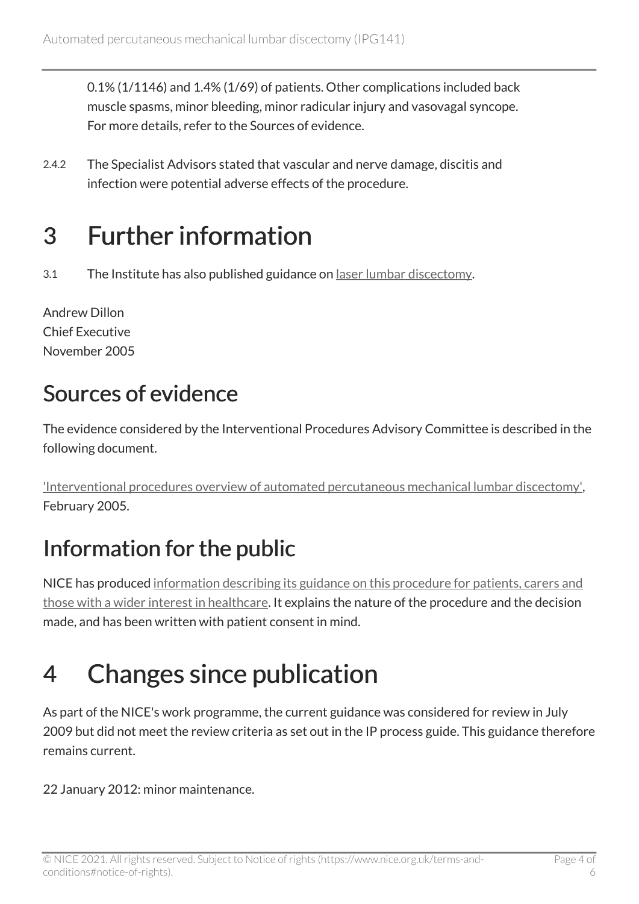0.1% (1/1146) and 1.4% (1/69) of patients. Other complications included back muscle spasms, minor bleeding, minor radicular injury and vasovagal syncope. For more details, refer to the Sources of evidence.

2.4.2 The Specialist Advisors stated that vascular and nerve damage, discitis and infection were potential adverse effects of the procedure.

## 3 Further information

3.1 The Institute has also published guidance on [laser lumbar discectomy.](http://www.nice.org.uk/guidance/ipg357)

Andrew Dillon Chief Executive November 2005

### Sources of evidence

The evidence considered by the Interventional Procedures Advisory Committee is described in the following document.

['Interventional procedures overview of automated percutaneous mechanical lumbar discectomy',](http://www.nice.org.uk/proxy/?sourceUrl=http%3a%2f%2fwww.nice.org.uk%2fip278overview) February 2005.

### Information for the public

NICE has produced [information describing its guidance on this procedure for patients, carers and](http://www.nice.org.uk/guidance/ipg141/informationforpublic) [those with a wider interest in healthcare.](http://www.nice.org.uk/guidance/ipg141/informationforpublic) It explains the nature of the procedure and the decision made, and has been written with patient consent in mind.

## 4 Changes since publication

As part of the NICE's work programme, the current guidance was considered for review in July 2009 but did not meet the review criteria as set out in the IP process guide. This guidance therefore remains current.

22 January 2012: minor maintenance.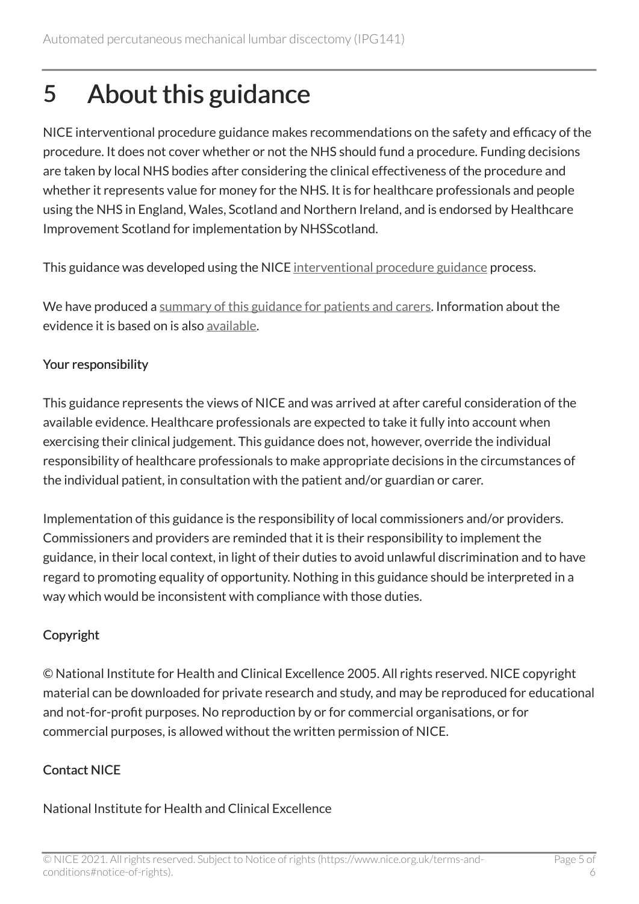## 5 About this guidance

NICE interventional procedure guidance makes recommendations on the safety and efficacy of the procedure. It does not cover whether or not the NHS should fund a procedure. Funding decisions are taken by local NHS bodies after considering the clinical effectiveness of the procedure and whether it represents value for money for the NHS. It is for healthcare professionals and people using the NHS in England, Wales, Scotland and Northern Ireland, and is endorsed by Healthcare Improvement Scotland for implementation by NHSScotland.

This guidance was developed using the NICE [interventional procedure guidance](http://www.nice.org.uk/about/what-we-do/our-programmes/nice-guidance/nice-interventional-procedures-guidance) process.

We have produced a [summary of this guidance for patients and carers.](http://www.nice.org.uk/guidance/ipg141/informationforpublic) Information about the evidence it is based on is also [available](http://www.nice.org.uk/guidance/ipg141).

#### Your responsibility

This guidance represents the views of NICE and was arrived at after careful consideration of the available evidence. Healthcare professionals are expected to take it fully into account when exercising their clinical judgement. This guidance does not, however, override the individual responsibility of healthcare professionals to make appropriate decisions in the circumstances of the individual patient, in consultation with the patient and/or guardian or carer.

Implementation of this guidance is the responsibility of local commissioners and/or providers. Commissioners and providers are reminded that it is their responsibility to implement the guidance, in their local context, in light of their duties to avoid unlawful discrimination and to have regard to promoting equality of opportunity. Nothing in this guidance should be interpreted in a way which would be inconsistent with compliance with those duties.

#### Copyright

© National Institute for Health and Clinical Excellence 2005. All rights reserved. NICE copyright material can be downloaded for private research and study, and may be reproduced for educational and not-for-profit purposes. No reproduction by or for commercial organisations, or for commercial purposes, is allowed without the written permission of NICE.

#### Contact NICE

#### National Institute for Health and Clinical Excellence